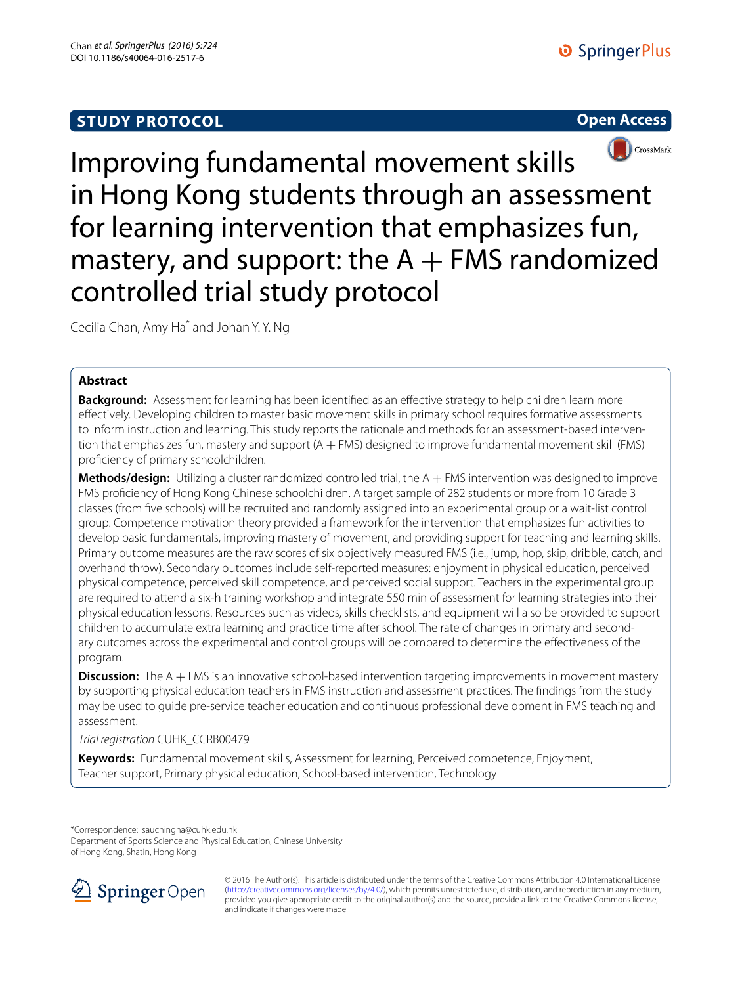



Improving fundamental movement skills in Hong Kong students through an assessment for learning intervention that emphasizes fun, mastery, and support: the  $A + FMS$  randomized controlled trial study protocol

Cecilia Chan, Amy Ha\* and Johan Y. Y. Ng

# **Abstract**

**Background:** Assessment for learning has been identified as an effective strategy to help children learn more effectively. Developing children to master basic movement skills in primary school requires formative assessments to inform instruction and learning. This study reports the rationale and methods for an assessment-based intervention that emphasizes fun, mastery and support (A + FMS) designed to improve fundamental movement skill (FMS) proficiency of primary schoolchildren.

**Methods/design:** Utilizing a cluster randomized controlled trial, the A + FMS intervention was designed to improve FMS proficiency of Hong Kong Chinese schoolchildren. A target sample of 282 students or more from 10 Grade 3 classes (from five schools) will be recruited and randomly assigned into an experimental group or a wait-list control group. Competence motivation theory provided a framework for the intervention that emphasizes fun activities to develop basic fundamentals, improving mastery of movement, and providing support for teaching and learning skills. Primary outcome measures are the raw scores of six objectively measured FMS (i.e., jump, hop, skip, dribble, catch, and overhand throw). Secondary outcomes include self-reported measures: enjoyment in physical education, perceived physical competence, perceived skill competence, and perceived social support. Teachers in the experimental group are required to attend a six-h training workshop and integrate 550 min of assessment for learning strategies into their physical education lessons. Resources such as videos, skills checklists, and equipment will also be provided to support children to accumulate extra learning and practice time after school. The rate of changes in primary and secondary outcomes across the experimental and control groups will be compared to determine the effectiveness of the program.

**Discussion:** The A + FMS is an innovative school-based intervention targeting improvements in movement mastery by supporting physical education teachers in FMS instruction and assessment practices. The findings from the study may be used to guide pre-service teacher education and continuous professional development in FMS teaching and assessment.

*Trial registration* CUHK\_CCRB00479

**Keywords:** Fundamental movement skills, Assessment for learning, Perceived competence, Enjoyment, Teacher support, Primary physical education, School-based intervention, Technology

\*Correspondence: sauchingha@cuhk.edu.hk

Department of Sports Science and Physical Education, Chinese University of Hong Kong, Shatin, Hong Kong



© 2016 The Author(s). This article is distributed under the terms of the Creative Commons Attribution 4.0 International License [\(http://creativecommons.org/licenses/by/4.0/\)](http://creativecommons.org/licenses/by/4.0/), which permits unrestricted use, distribution, and reproduction in any medium, provided you give appropriate credit to the original author(s) and the source, provide a link to the Creative Commons license, and indicate if changes were made.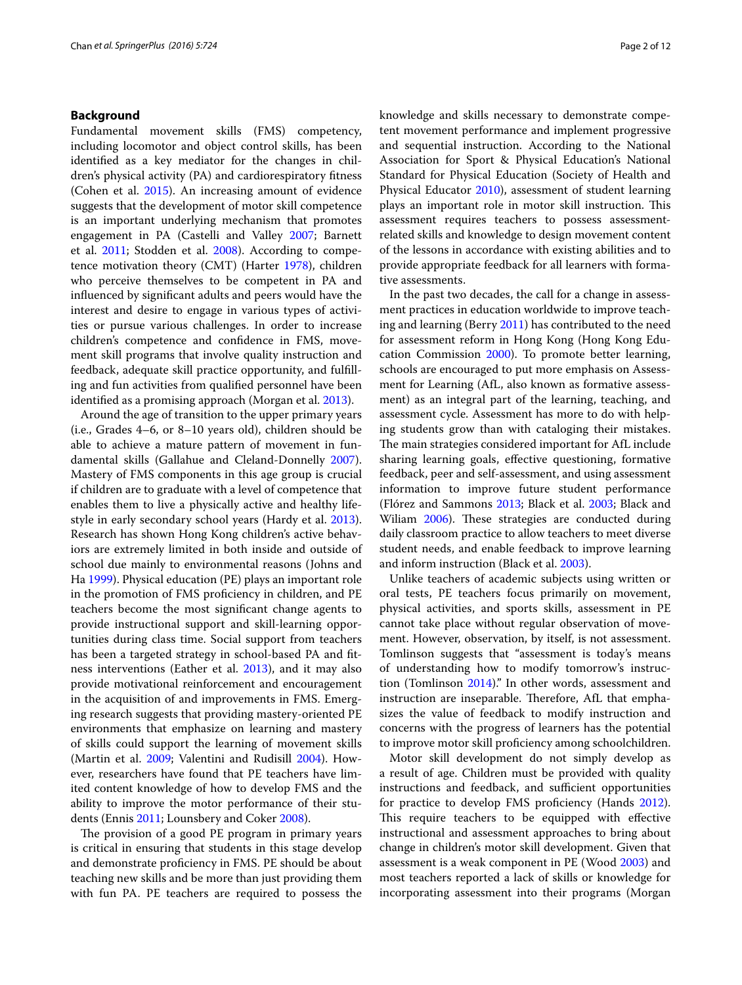## **Background**

Fundamental movement skills (FMS) competency, including locomotor and object control skills, has been identified as a key mediator for the changes in children's physical activity (PA) and cardiorespiratory fitness (Cohen et al. [2015](#page-10-0)). An increasing amount of evidence suggests that the development of motor skill competence is an important underlying mechanism that promotes engagement in PA (Castelli and Valley [2007](#page-10-1); Barnett et al. [2011;](#page-10-2) Stodden et al. [2008\)](#page-11-0). According to competence motivation theory (CMT) (Harter [1978\)](#page-10-3), children who perceive themselves to be competent in PA and influenced by significant adults and peers would have the interest and desire to engage in various types of activities or pursue various challenges. In order to increase children's competence and confidence in FMS, movement skill programs that involve quality instruction and feedback, adequate skill practice opportunity, and fulfilling and fun activities from qualified personnel have been identified as a promising approach (Morgan et al. [2013\)](#page-11-1).

Around the age of transition to the upper primary years (i.e., Grades 4–6, or 8–10 years old), children should be able to achieve a mature pattern of movement in fundamental skills (Gallahue and Cleland-Donnelly [2007](#page-10-4)). Mastery of FMS components in this age group is crucial if children are to graduate with a level of competence that enables them to live a physically active and healthy lifestyle in early secondary school years (Hardy et al. [2013](#page-10-5)). Research has shown Hong Kong children's active behaviors are extremely limited in both inside and outside of school due mainly to environmental reasons (Johns and Ha [1999\)](#page-10-6). Physical education (PE) plays an important role in the promotion of FMS proficiency in children, and PE teachers become the most significant change agents to provide instructional support and skill-learning opportunities during class time. Social support from teachers has been a targeted strategy in school-based PA and fitness interventions (Eather et al. [2013](#page-10-7)), and it may also provide motivational reinforcement and encouragement in the acquisition of and improvements in FMS. Emerging research suggests that providing mastery-oriented PE environments that emphasize on learning and mastery of skills could support the learning of movement skills (Martin et al. [2009](#page-11-2); Valentini and Rudisill [2004\)](#page-11-3). However, researchers have found that PE teachers have limited content knowledge of how to develop FMS and the ability to improve the motor performance of their students (Ennis [2011](#page-10-8); Lounsbery and Coker [2008](#page-11-4)).

The provision of a good PE program in primary years is critical in ensuring that students in this stage develop and demonstrate proficiency in FMS. PE should be about teaching new skills and be more than just providing them with fun PA. PE teachers are required to possess the knowledge and skills necessary to demonstrate competent movement performance and implement progressive and sequential instruction. According to the National Association for Sport & Physical Education's National Standard for Physical Education (Society of Health and Physical Educator [2010\)](#page-11-5), assessment of student learning plays an important role in motor skill instruction. This assessment requires teachers to possess assessmentrelated skills and knowledge to design movement content of the lessons in accordance with existing abilities and to provide appropriate feedback for all learners with formative assessments.

In the past two decades, the call for a change in assessment practices in education worldwide to improve teaching and learning (Berry [2011](#page-10-9)) has contributed to the need for assessment reform in Hong Kong (Hong Kong Education Commission [2000](#page-10-10)). To promote better learning, schools are encouraged to put more emphasis on Assessment for Learning (AfL, also known as formative assessment) as an integral part of the learning, teaching, and assessment cycle. Assessment has more to do with helping students grow than with cataloging their mistakes. The main strategies considered important for AfL include sharing learning goals, effective questioning, formative feedback, peer and self-assessment, and using assessment information to improve future student performance (Flórez and Sammons [2013](#page-10-11); Black et al. [2003](#page-10-12); Black and Wiliam [2006](#page-10-13)). These strategies are conducted during daily classroom practice to allow teachers to meet diverse student needs, and enable feedback to improve learning and inform instruction (Black et al. [2003](#page-10-12)).

Unlike teachers of academic subjects using written or oral tests, PE teachers focus primarily on movement, physical activities, and sports skills, assessment in PE cannot take place without regular observation of movement. However, observation, by itself, is not assessment. Tomlinson suggests that "assessment is today's means of understanding how to modify tomorrow's instruc-tion (Tomlinson [2014](#page-11-6))." In other words, assessment and instruction are inseparable. Therefore, AfL that emphasizes the value of feedback to modify instruction and concerns with the progress of learners has the potential to improve motor skill proficiency among schoolchildren.

Motor skill development do not simply develop as a result of age. Children must be provided with quality instructions and feedback, and sufficient opportunities for practice to develop FMS proficiency (Hands [2012](#page-10-14)). This require teachers to be equipped with effective instructional and assessment approaches to bring about change in children's motor skill development. Given that assessment is a weak component in PE (Wood [2003\)](#page-11-7) and most teachers reported a lack of skills or knowledge for incorporating assessment into their programs (Morgan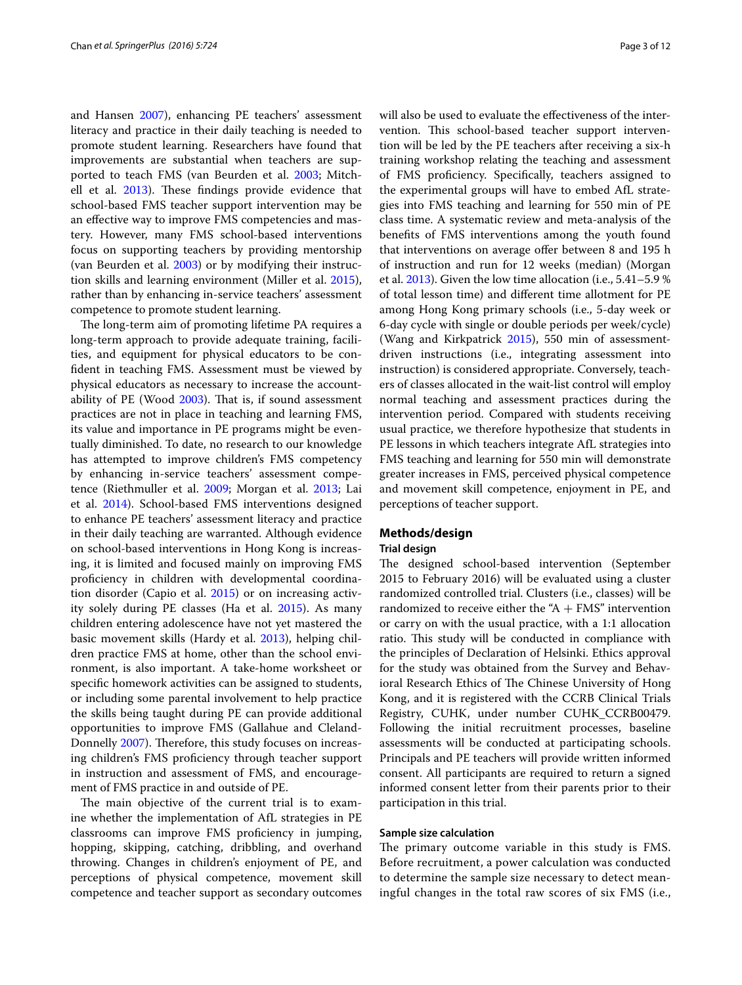and Hansen [2007\)](#page-11-8), enhancing PE teachers' assessment literacy and practice in their daily teaching is needed to promote student learning. Researchers have found that improvements are substantial when teachers are supported to teach FMS (van Beurden et al. [2003;](#page-11-9) Mitchell et al. [2013\)](#page-11-10). These findings provide evidence that school-based FMS teacher support intervention may be an effective way to improve FMS competencies and mastery. However, many FMS school-based interventions focus on supporting teachers by providing mentorship (van Beurden et al. [2003\)](#page-11-9) or by modifying their instruction skills and learning environment (Miller et al. [2015](#page-11-11)), rather than by enhancing in-service teachers' assessment competence to promote student learning.

The long-term aim of promoting lifetime PA requires a long-term approach to provide adequate training, facilities, and equipment for physical educators to be confident in teaching FMS. Assessment must be viewed by physical educators as necessary to increase the accountability of PE (Wood [2003\)](#page-11-7). That is, if sound assessment practices are not in place in teaching and learning FMS, its value and importance in PE programs might be eventually diminished. To date, no research to our knowledge has attempted to improve children's FMS competency by enhancing in-service teachers' assessment competence (Riethmuller et al. [2009;](#page-11-12) Morgan et al. [2013](#page-11-1); Lai et al. [2014](#page-10-15)). School-based FMS interventions designed to enhance PE teachers' assessment literacy and practice in their daily teaching are warranted. Although evidence on school-based interventions in Hong Kong is increasing, it is limited and focused mainly on improving FMS proficiency in children with developmental coordina-tion disorder (Capio et al. [2015\)](#page-10-16) or on increasing activity solely during PE classes (Ha et al. [2015\)](#page-10-17). As many children entering adolescence have not yet mastered the basic movement skills (Hardy et al. [2013\)](#page-10-5), helping children practice FMS at home, other than the school environment, is also important. A take-home worksheet or specific homework activities can be assigned to students, or including some parental involvement to help practice the skills being taught during PE can provide additional opportunities to improve FMS (Gallahue and Cleland-Donnelly [2007](#page-10-4)). Therefore, this study focuses on increasing children's FMS proficiency through teacher support in instruction and assessment of FMS, and encouragement of FMS practice in and outside of PE.

The main objective of the current trial is to examine whether the implementation of AfL strategies in PE classrooms can improve FMS proficiency in jumping, hopping, skipping, catching, dribbling, and overhand throwing. Changes in children's enjoyment of PE, and perceptions of physical competence, movement skill competence and teacher support as secondary outcomes will also be used to evaluate the effectiveness of the intervention. This school-based teacher support intervention will be led by the PE teachers after receiving a six-h training workshop relating the teaching and assessment of FMS proficiency. Specifically, teachers assigned to the experimental groups will have to embed AfL strategies into FMS teaching and learning for 550 min of PE class time. A systematic review and meta-analysis of the benefits of FMS interventions among the youth found that interventions on average offer between 8 and 195 h of instruction and run for 12 weeks (median) (Morgan et al. [2013\)](#page-11-1). Given the low time allocation (i.e., 5.41–5.9 % of total lesson time) and different time allotment for PE among Hong Kong primary schools (i.e., 5-day week or 6-day cycle with single or double periods per week/cycle) (Wang and Kirkpatrick [2015](#page-11-13)), 550 min of assessmentdriven instructions (i.e., integrating assessment into instruction) is considered appropriate. Conversely, teachers of classes allocated in the wait-list control will employ normal teaching and assessment practices during the intervention period. Compared with students receiving usual practice, we therefore hypothesize that students in PE lessons in which teachers integrate AfL strategies into FMS teaching and learning for 550 min will demonstrate greater increases in FMS, perceived physical competence and movement skill competence, enjoyment in PE, and perceptions of teacher support.

## **Methods/design**

## **Trial design**

The designed school-based intervention (September 2015 to February 2016) will be evaluated using a cluster randomized controlled trial. Clusters (i.e., classes) will be randomized to receive either the " $A + FMS$ " intervention or carry on with the usual practice, with a 1:1 allocation ratio. This study will be conducted in compliance with the principles of Declaration of Helsinki. Ethics approval for the study was obtained from the Survey and Behavioral Research Ethics of The Chinese University of Hong Kong, and it is registered with the CCRB Clinical Trials Registry, CUHK, under number CUHK\_CCRB00479. Following the initial recruitment processes, baseline assessments will be conducted at participating schools. Principals and PE teachers will provide written informed consent. All participants are required to return a signed informed consent letter from their parents prior to their participation in this trial.

## **Sample size calculation**

The primary outcome variable in this study is FMS. Before recruitment, a power calculation was conducted to determine the sample size necessary to detect meaningful changes in the total raw scores of six FMS (i.e.,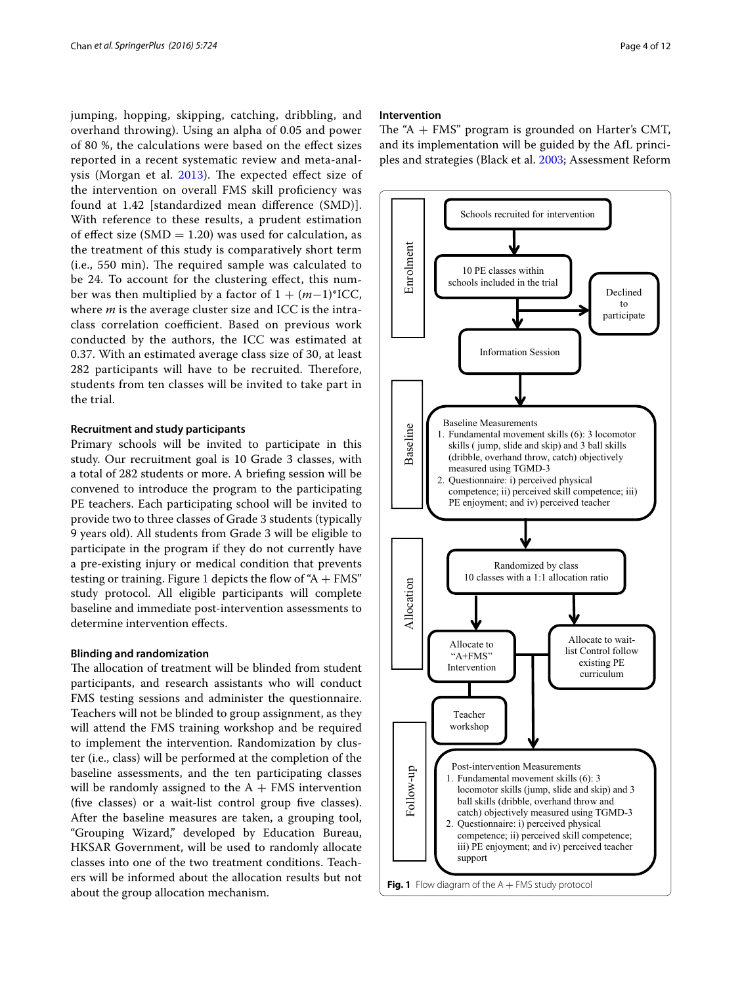jumping, hopping, skipping, catching, dribbling, and overhand throwing). Using an alpha of 0.05 and power of 80 %, the calculations were based on the effect sizes reported in a recent systematic review and meta-analysis (Morgan et al. [2013](#page-11-1)). The expected effect size of the intervention on overall FMS skill proficiency was found at 1.42 [standardized mean difference (SMD)]. With reference to these results, a prudent estimation of effect size  $(SMD = 1.20)$  was used for calculation, as the treatment of this study is comparatively short term (i.e., 550 min). The required sample was calculated to be 24. To account for the clustering effect, this number was then multiplied by a factor of  $1 + (m-1)$ <sup>\*</sup>ICC, where *m* is the average cluster size and ICC is the intraclass correlation coefficient. Based on previous work conducted by the authors, the ICC was estimated at 0.37. With an estimated average class size of 30, at least 282 participants will have to be recruited. Therefore, students from ten classes will be invited to take part in the trial.

## **Recruitment and study participants**

Primary schools will be invited to participate in this study. Our recruitment goal is 10 Grade 3 classes, with a total of 282 students or more. A briefing session will be convened to introduce the program to the participating PE teachers. Each participating school will be invited to provide two to three classes of Grade 3 students (typically 9 years old). All students from Grade 3 will be eligible to participate in the program if they do not currently have a pre-existing injury or medical condition that prevents testing or training. Figure [1](#page-3-0) depicts the flow of " $A + FMS$ " study protocol. All eligible participants will complete baseline and immediate post-intervention assessments to determine intervention effects.

## **Blinding and randomization**

<span id="page-3-0"></span>The allocation of treatment will be blinded from student participants, and research assistants who will conduct FMS testing sessions and administer the questionnaire. Teachers will not be blinded to group assignment, as they will attend the FMS training workshop and be required to implement the intervention. Randomization by cluster (i.e., class) will be performed at the completion of the baseline assessments, and the ten participating classes will be randomly assigned to the  $A + FMS$  intervention (five classes) or a wait-list control group five classes). After the baseline measures are taken, a grouping tool, "Grouping Wizard," developed by Education Bureau, HKSAR Government, will be used to randomly allocate classes into one of the two treatment conditions. Teachers will be informed about the allocation results but not about the group allocation mechanism.

## **Intervention**

The "A  $+$  FMS" program is grounded on Harter's CMT, and its implementation will be guided by the AfL principles and strategies (Black et al. [2003](#page-10-12); Assessment Reform

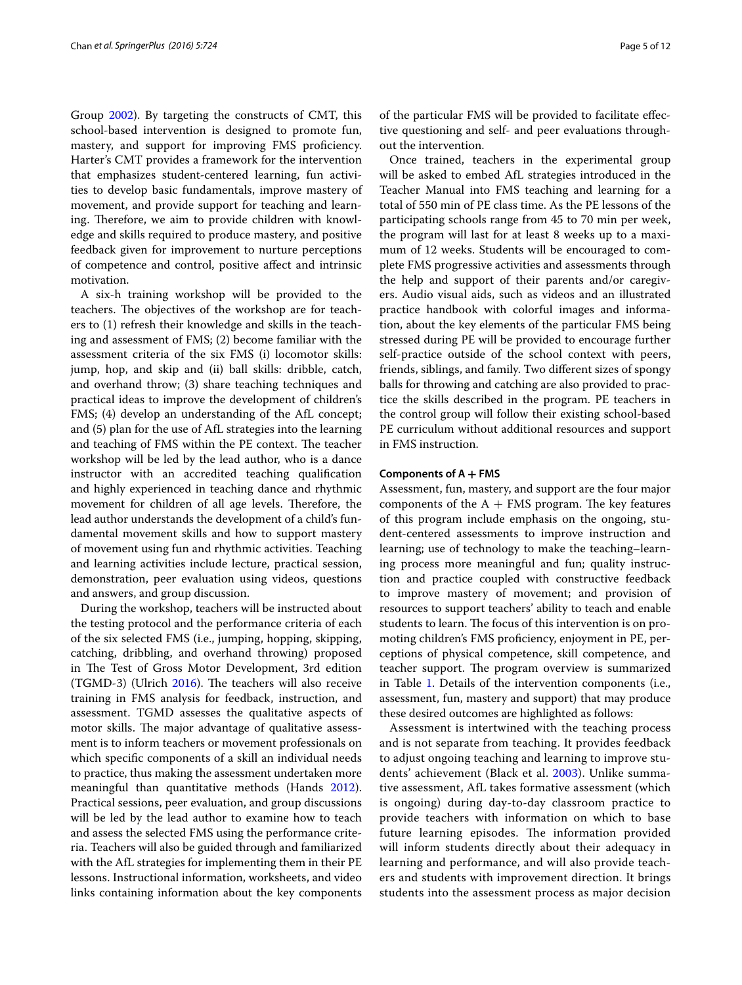Group [2002](#page-10-18)). By targeting the constructs of CMT, this school-based intervention is designed to promote fun, mastery, and support for improving FMS proficiency. Harter's CMT provides a framework for the intervention that emphasizes student-centered learning, fun activities to develop basic fundamentals, improve mastery of movement, and provide support for teaching and learning. Therefore, we aim to provide children with knowledge and skills required to produce mastery, and positive feedback given for improvement to nurture perceptions of competence and control, positive affect and intrinsic motivation.

A six-h training workshop will be provided to the teachers. The objectives of the workshop are for teachers to (1) refresh their knowledge and skills in the teaching and assessment of FMS; (2) become familiar with the assessment criteria of the six FMS (i) locomotor skills: jump, hop, and skip and (ii) ball skills: dribble, catch, and overhand throw; (3) share teaching techniques and practical ideas to improve the development of children's FMS; (4) develop an understanding of the AfL concept; and (5) plan for the use of AfL strategies into the learning and teaching of FMS within the PE context. The teacher workshop will be led by the lead author, who is a dance instructor with an accredited teaching qualification and highly experienced in teaching dance and rhythmic movement for children of all age levels. Therefore, the lead author understands the development of a child's fundamental movement skills and how to support mastery of movement using fun and rhythmic activities. Teaching and learning activities include lecture, practical session, demonstration, peer evaluation using videos, questions and answers, and group discussion.

During the workshop, teachers will be instructed about the testing protocol and the performance criteria of each of the six selected FMS (i.e., jumping, hopping, skipping, catching, dribbling, and overhand throwing) proposed in The Test of Gross Motor Development, 3rd edition (TGMD-3) (Ulrich [2016\)](#page-11-14). The teachers will also receive training in FMS analysis for feedback, instruction, and assessment. TGMD assesses the qualitative aspects of motor skills. The major advantage of qualitative assessment is to inform teachers or movement professionals on which specific components of a skill an individual needs to practice, thus making the assessment undertaken more meaningful than quantitative methods (Hands [2012](#page-10-14)). Practical sessions, peer evaluation, and group discussions will be led by the lead author to examine how to teach and assess the selected FMS using the performance criteria. Teachers will also be guided through and familiarized with the AfL strategies for implementing them in their PE lessons. Instructional information, worksheets, and video links containing information about the key components of the particular FMS will be provided to facilitate effective questioning and self- and peer evaluations throughout the intervention.

Once trained, teachers in the experimental group will be asked to embed AfL strategies introduced in the Teacher Manual into FMS teaching and learning for a total of 550 min of PE class time. As the PE lessons of the participating schools range from 45 to 70 min per week, the program will last for at least 8 weeks up to a maximum of 12 weeks. Students will be encouraged to complete FMS progressive activities and assessments through the help and support of their parents and/or caregivers. Audio visual aids, such as videos and an illustrated practice handbook with colorful images and information, about the key elements of the particular FMS being stressed during PE will be provided to encourage further self-practice outside of the school context with peers, friends, siblings, and family. Two different sizes of spongy balls for throwing and catching are also provided to practice the skills described in the program. PE teachers in the control group will follow their existing school-based PE curriculum without additional resources and support in FMS instruction.

## **Components of A + FMS**

Assessment, fun, mastery, and support are the four major components of the  $A + FMS$  program. The key features of this program include emphasis on the ongoing, student-centered assessments to improve instruction and learning; use of technology to make the teaching–learning process more meaningful and fun; quality instruction and practice coupled with constructive feedback to improve mastery of movement; and provision of resources to support teachers' ability to teach and enable students to learn. The focus of this intervention is on promoting children's FMS proficiency, enjoyment in PE, perceptions of physical competence, skill competence, and teacher support. The program overview is summarized in Table [1](#page-5-0). Details of the intervention components (i.e., assessment, fun, mastery and support) that may produce these desired outcomes are highlighted as follows:

Assessment is intertwined with the teaching process and is not separate from teaching. It provides feedback to adjust ongoing teaching and learning to improve students' achievement (Black et al. [2003](#page-10-12)). Unlike summative assessment, AfL takes formative assessment (which is ongoing) during day-to-day classroom practice to provide teachers with information on which to base future learning episodes. The information provided will inform students directly about their adequacy in learning and performance, and will also provide teachers and students with improvement direction. It brings students into the assessment process as major decision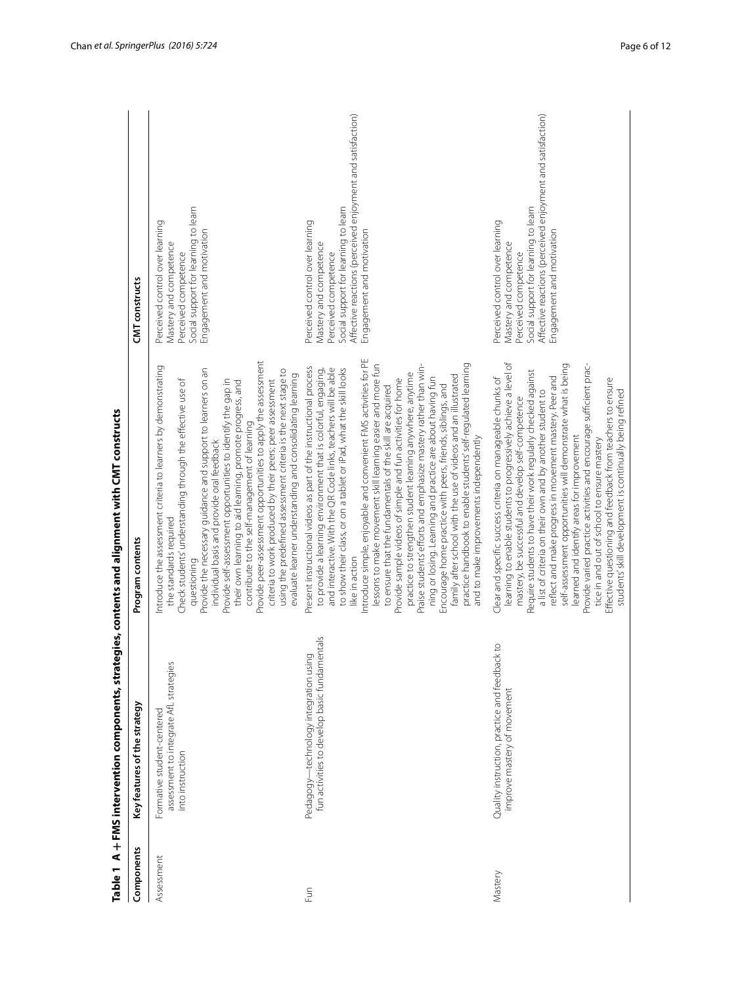|            |                                                                                              | Table 1 A $+$ FMs intervention components, strategies, contents and alignment with CMT constructs                                                                                                                                                                                                                                                                                                                                                                                                                                                                                                                                                                                                                                                                                                                                                                                                                                                                                                 |                                                                                                                                                                                                                       |
|------------|----------------------------------------------------------------------------------------------|---------------------------------------------------------------------------------------------------------------------------------------------------------------------------------------------------------------------------------------------------------------------------------------------------------------------------------------------------------------------------------------------------------------------------------------------------------------------------------------------------------------------------------------------------------------------------------------------------------------------------------------------------------------------------------------------------------------------------------------------------------------------------------------------------------------------------------------------------------------------------------------------------------------------------------------------------------------------------------------------------|-----------------------------------------------------------------------------------------------------------------------------------------------------------------------------------------------------------------------|
| Components | Key features of the strategy                                                                 | Program contents                                                                                                                                                                                                                                                                                                                                                                                                                                                                                                                                                                                                                                                                                                                                                                                                                                                                                                                                                                                  | CMT constructs                                                                                                                                                                                                        |
| Assessment | Ö<br>assessment to integrate AfL strategie<br>Formative student-centered<br>into instruction | Provide peer-assessment opportunities to apply the assessment<br>Introduce the assessment criteria to learners by demonstrating<br>Provide the necessary guidance and support to learners on an<br>using the predefined assessment criteria is the next stage to<br>evaluate learner understanding and consolidating learning<br>criteria to work produced by their peers; peer assessment<br>Provide self-assessment opportunities to identify the gap in<br>Check students' understanding through the effective use of<br>their own learning to aid learning, promote progress, and<br>contribute to the self-management of learning<br>individual basis and provide oral feedback<br>the standards required<br>questioning                                                                                                                                                                                                                                                                     | Social support for learning to learn<br>Perceived control over learning<br>Engagement and motivation<br>Mastery and competence<br>Perceived competence                                                                |
| Fun        | fun activities to develop basic fundamentals<br>Pedagogy-technology integration using        | Introduce simple, enjoyable and convenient FMS activities for PE<br>practice handbook to enable students' self-regulated learning<br>Praise students' efforts and emphasize mastery rather than win-<br>lessons to make movement skill learning easier and more fun<br>Present instructional videos as part of the instructional process<br>and interactive. With the QR Code links, teachers will be able<br>to show their class, or on a tablet or iPad, what the skill looks<br>to provide a learning environment that is colorful, engaging<br>practice to strengthen student learning anywhere, anytime<br>family after school with the use of videos and an illustrated<br>ning or losing. Learning and practice are about having fun<br>Provide sample videos of simple and fun activities for home<br>Encourage home practice with peers, friends, siblings, and<br>to ensure that the fundamentals of the skill are acquired<br>and to make improvements independently<br>like in action | Affective reactions (perceived enjoyment and satisfaction)<br>Social support for learning to learn<br>Perceived control over learning<br>Engagement and motivation<br>Vlastery and competence<br>Perceived competence |
| Mastery    | Quality instruction, practice and feedback to<br>improve mastery of movement                 | learning to enable students to progressively achieve a level of<br>Provide varied practice activities and encourage sufficient prac-<br>self-assessment opportunities will demonstrate what is being<br>Require students to have their work regularly checked against<br>reflect and make progress in movement mastery. Peer and<br>Clear and specific success criteria on manageable chunks of<br>Effective questioning and feedback from teachers to ensure<br>students' skill development is continually being refined<br>a list of criteria on their own and by another student to<br>mastery, be successful and develop self-competence<br>learned and identify areas for improvement<br>tice in and out of school to ensure mastery                                                                                                                                                                                                                                                         | Affective reactions (perceived enjoyment and satisfaction)<br>Social support for learning to learn<br>Perceived control over learning<br>Engagement and motivation<br>Mastery and competence<br>Perceived competence  |

<span id="page-5-0"></span>and alignment with CMT constructs **+ FMS intervention components, strategies, contents and alignment with CMT constructs** contents **strategies** ponents. š Table 1 A + FMS intervention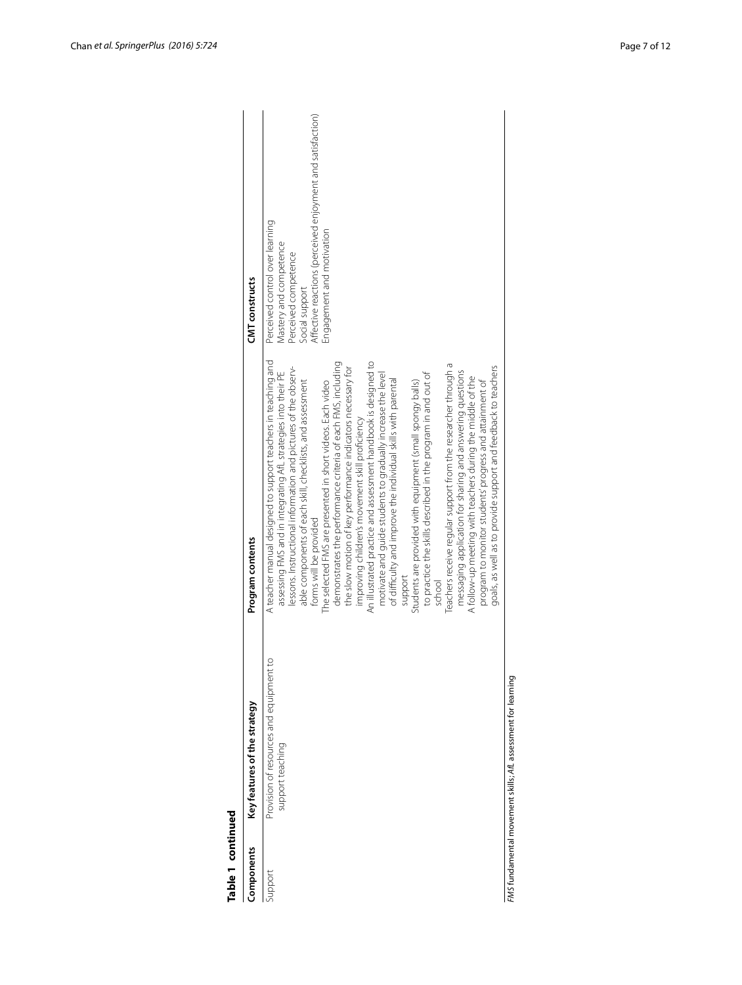| Table 1 continued |                                                              |                                                                                                                                                                                                                                                                                                                                                                                                                                                                                                                                                                                                                                                                                                                                                                                                                                                                                                                                                                                                                                                                                                                                                                                                                       |                                                                                                                                                                                                |
|-------------------|--------------------------------------------------------------|-----------------------------------------------------------------------------------------------------------------------------------------------------------------------------------------------------------------------------------------------------------------------------------------------------------------------------------------------------------------------------------------------------------------------------------------------------------------------------------------------------------------------------------------------------------------------------------------------------------------------------------------------------------------------------------------------------------------------------------------------------------------------------------------------------------------------------------------------------------------------------------------------------------------------------------------------------------------------------------------------------------------------------------------------------------------------------------------------------------------------------------------------------------------------------------------------------------------------|------------------------------------------------------------------------------------------------------------------------------------------------------------------------------------------------|
| Components        | Key features of the strategy                                 | Program contents                                                                                                                                                                                                                                                                                                                                                                                                                                                                                                                                                                                                                                                                                                                                                                                                                                                                                                                                                                                                                                                                                                                                                                                                      | CMT constructs                                                                                                                                                                                 |
| Support           | Provision of resources and equipment to<br>support teaching  | A teacher manual designed to support teachers in teaching and<br>An illustrated practice and assessment handbook is designed to<br>demonstrates the performance criteria of each FMS, including<br>Teachers receive regular support from the researcher through a<br>goals, as well as to provide support and feedback to teachers<br>the slow motion of key performance indicators necessary for<br>lessons. Instructional information and pictures of the observ-<br>messaging application for sharing and answering questions<br>to practice the skills described in the program in and out of<br>assessing FMS and in integrating AfL strategies into their PE<br>motivate and quide students to gradually increase the level<br>A follow-up meeting with teachers during the middle of the<br>of difficulty and improve the individual skills with parental<br>able components of each skill, checklists, and assessment<br>The selected FMS are presented in short videos. Each video<br>program to monitor students' progress and attainment of<br>Students are provided with equipment (small spongy balls)<br>improving children's movement skill proficiency<br>forms will be provided<br>support<br>school | Affective reactions (perceived enjoyment and satisfaction)<br>Perceived control over learning<br>Engagement and motivation<br>Mastery and competence<br>Perceived competence<br>Social support |
|                   | FMS fundamental movement skills; AfL assessment for learning |                                                                                                                                                                                                                                                                                                                                                                                                                                                                                                                                                                                                                                                                                                                                                                                                                                                                                                                                                                                                                                                                                                                                                                                                                       |                                                                                                                                                                                                |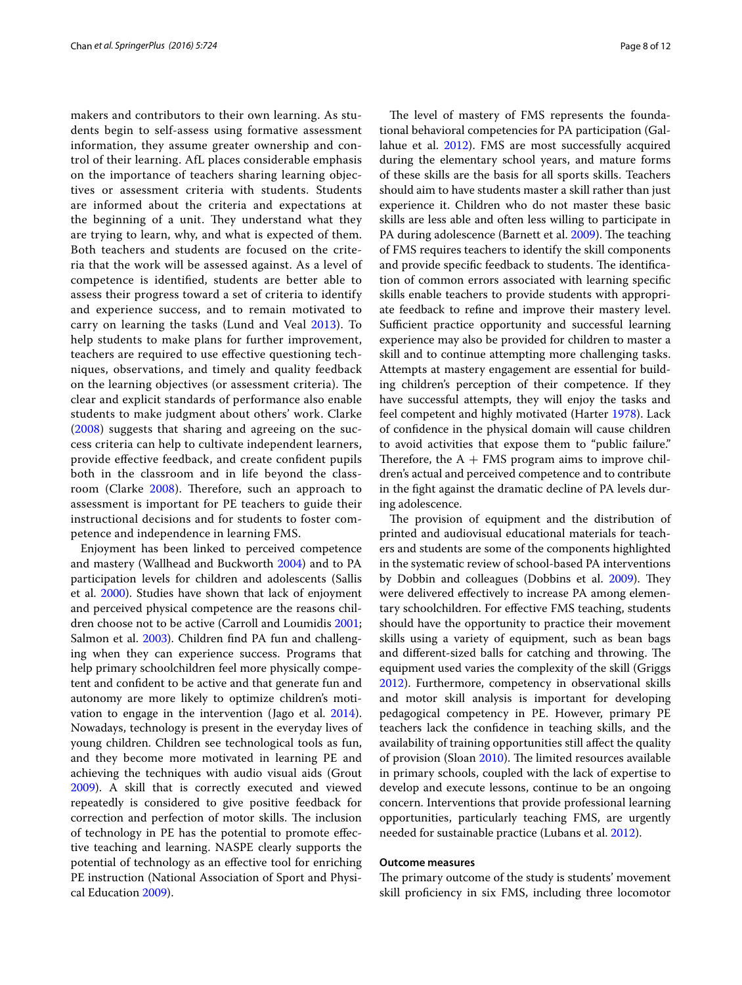makers and contributors to their own learning. As students begin to self-assess using formative assessment information, they assume greater ownership and control of their learning. AfL places considerable emphasis on the importance of teachers sharing learning objectives or assessment criteria with students. Students are informed about the criteria and expectations at the beginning of a unit. They understand what they are trying to learn, why, and what is expected of them. Both teachers and students are focused on the criteria that the work will be assessed against. As a level of competence is identified, students are better able to assess their progress toward a set of criteria to identify and experience success, and to remain motivated to carry on learning the tasks (Lund and Veal [2013](#page-11-15)). To help students to make plans for further improvement, teachers are required to use effective questioning techniques, observations, and timely and quality feedback on the learning objectives (or assessment criteria). The clear and explicit standards of performance also enable students to make judgment about others' work. Clarke ([2008](#page-10-19)) suggests that sharing and agreeing on the success criteria can help to cultivate independent learners, provide effective feedback, and create confident pupils both in the classroom and in life beyond the classroom (Clarke [2008](#page-10-19)). Therefore, such an approach to assessment is important for PE teachers to guide their instructional decisions and for students to foster competence and independence in learning FMS.

Enjoyment has been linked to perceived competence and mastery (Wallhead and Buckworth [2004\)](#page-11-16) and to PA participation levels for children and adolescents (Sallis et al. [2000\)](#page-11-17). Studies have shown that lack of enjoyment and perceived physical competence are the reasons children choose not to be active (Carroll and Loumidis [2001](#page-10-20); Salmon et al. [2003](#page-11-18)). Children find PA fun and challenging when they can experience success. Programs that help primary schoolchildren feel more physically competent and confident to be active and that generate fun and autonomy are more likely to optimize children's motivation to engage in the intervention (Jago et al. [2014](#page-10-21)). Nowadays, technology is present in the everyday lives of young children. Children see technological tools as fun, and they become more motivated in learning PE and achieving the techniques with audio visual aids (Grout [2009](#page-10-22)). A skill that is correctly executed and viewed repeatedly is considered to give positive feedback for correction and perfection of motor skills. The inclusion of technology in PE has the potential to promote effective teaching and learning. NASPE clearly supports the potential of technology as an effective tool for enriching PE instruction (National Association of Sport and Physical Education [2009](#page-11-19)).

The level of mastery of FMS represents the foundational behavioral competencies for PA participation (Gal-lahue et al. [2012](#page-10-23)). FMS are most successfully acquired during the elementary school years, and mature forms of these skills are the basis for all sports skills. Teachers should aim to have students master a skill rather than just experience it. Children who do not master these basic skills are less able and often less willing to participate in PA during adolescence (Barnett et al. [2009](#page-10-24)). The teaching of FMS requires teachers to identify the skill components and provide specific feedback to students. The identification of common errors associated with learning specific skills enable teachers to provide students with appropriate feedback to refine and improve their mastery level. Sufficient practice opportunity and successful learning experience may also be provided for children to master a skill and to continue attempting more challenging tasks. Attempts at mastery engagement are essential for building children's perception of their competence. If they have successful attempts, they will enjoy the tasks and feel competent and highly motivated (Harter [1978](#page-10-3)). Lack of confidence in the physical domain will cause children to avoid activities that expose them to "public failure." Therefore, the  $A + FMS$  program aims to improve children's actual and perceived competence and to contribute in the fight against the dramatic decline of PA levels during adolescence.

The provision of equipment and the distribution of printed and audiovisual educational materials for teachers and students are some of the components highlighted in the systematic review of school-based PA interventions by Dobbin and colleagues (Dobbins et al. [2009\)](#page-10-25). They were delivered effectively to increase PA among elementary schoolchildren. For effective FMS teaching, students should have the opportunity to practice their movement skills using a variety of equipment, such as bean bags and different-sized balls for catching and throwing. The equipment used varies the complexity of the skill (Griggs [2012](#page-10-26)). Furthermore, competency in observational skills and motor skill analysis is important for developing pedagogical competency in PE. However, primary PE teachers lack the confidence in teaching skills, and the availability of training opportunities still affect the quality of provision (Sloan [2010](#page-11-20)). The limited resources available in primary schools, coupled with the lack of expertise to develop and execute lessons, continue to be an ongoing concern. Interventions that provide professional learning opportunities, particularly teaching FMS, are urgently needed for sustainable practice (Lubans et al. [2012](#page-11-21)).

## **Outcome measures**

The primary outcome of the study is students' movement skill proficiency in six FMS, including three locomotor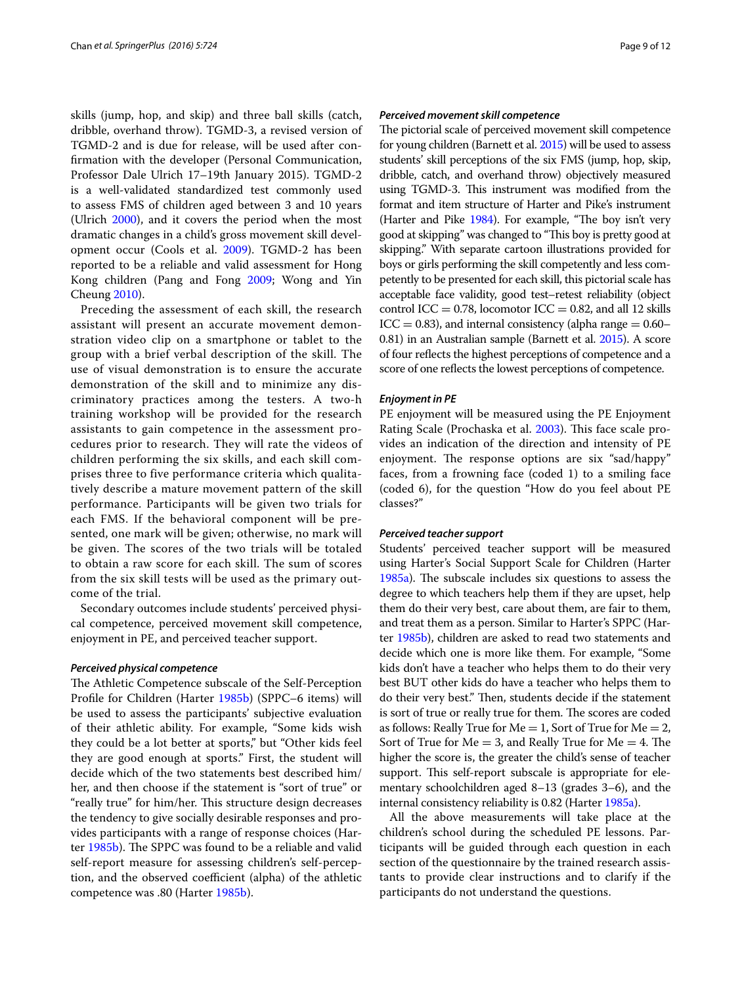skills (jump, hop, and skip) and three ball skills (catch, dribble, overhand throw). TGMD-3, a revised version of TGMD-2 and is due for release, will be used after confirmation with the developer (Personal Communication, Professor Dale Ulrich 17–19th January 2015). TGMD-2 is a well-validated standardized test commonly used to assess FMS of children aged between 3 and 10 years (Ulrich [2000\)](#page-11-22), and it covers the period when the most dramatic changes in a child's gross movement skill development occur (Cools et al. [2009\)](#page-10-27). TGMD-2 has been reported to be a reliable and valid assessment for Hong Kong children (Pang and Fong [2009](#page-11-23); Wong and Yin Cheung [2010\)](#page-11-24).

Preceding the assessment of each skill, the research assistant will present an accurate movement demonstration video clip on a smartphone or tablet to the group with a brief verbal description of the skill. The use of visual demonstration is to ensure the accurate demonstration of the skill and to minimize any discriminatory practices among the testers. A two-h training workshop will be provided for the research assistants to gain competence in the assessment procedures prior to research. They will rate the videos of children performing the six skills, and each skill comprises three to five performance criteria which qualitatively describe a mature movement pattern of the skill performance. Participants will be given two trials for each FMS. If the behavioral component will be presented, one mark will be given; otherwise, no mark will be given. The scores of the two trials will be totaled to obtain a raw score for each skill. The sum of scores from the six skill tests will be used as the primary outcome of the trial.

Secondary outcomes include students' perceived physical competence, perceived movement skill competence, enjoyment in PE, and perceived teacher support.

## *Perceived physical competence*

The Athletic Competence subscale of the Self-Perception Profile for Children (Harter [1985b](#page-10-28)) (SPPC–6 items) will be used to assess the participants' subjective evaluation of their athletic ability. For example, "Some kids wish they could be a lot better at sports," but "Other kids feel they are good enough at sports." First, the student will decide which of the two statements best described him/ her, and then choose if the statement is "sort of true" or "really true" for him/her. This structure design decreases the tendency to give socially desirable responses and provides participants with a range of response choices (Harter [1985b](#page-10-28)). The SPPC was found to be a reliable and valid self-report measure for assessing children's self-perception, and the observed coefficient (alpha) of the athletic competence was .80 (Harter [1985b](#page-10-28)).

## *Perceived movement skill competence*

The pictorial scale of perceived movement skill competence for young children (Barnett et al. [2015](#page-10-29)) will be used to assess students' skill perceptions of the six FMS (jump, hop, skip, dribble, catch, and overhand throw) objectively measured using TGMD-3. This instrument was modified from the format and item structure of Harter and Pike's instrument (Harter and Pike [1984](#page-10-30)). For example, "The boy isn't very good at skipping" was changed to "This boy is pretty good at skipping." With separate cartoon illustrations provided for boys or girls performing the skill competently and less competently to be presented for each skill, this pictorial scale has acceptable face validity, good test–retest reliability (object control ICC =  $0.78$ , locomotor ICC =  $0.82$ , and all 12 skills  $ICC = 0.83$ ), and internal consistency (alpha range  $= 0.60 -$ 0.81) in an Australian sample (Barnett et al. [2015](#page-10-29)). A score of four reflects the highest perceptions of competence and a score of one reflects the lowest perceptions of competence.

### *Enjoyment in PE*

PE enjoyment will be measured using the PE Enjoyment Rating Scale (Prochaska et al. [2003\)](#page-11-25). This face scale provides an indication of the direction and intensity of PE enjoyment. The response options are six "sad/happy" faces, from a frowning face (coded 1) to a smiling face (coded 6), for the question "How do you feel about PE classes?"

## *Perceived teacher support*

Students' perceived teacher support will be measured using Harter's Social Support Scale for Children (Harter [1985a](#page-10-31)). The subscale includes six questions to assess the degree to which teachers help them if they are upset, help them do their very best, care about them, are fair to them, and treat them as a person. Similar to Harter's SPPC (Harter [1985b](#page-10-28)), children are asked to read two statements and decide which one is more like them. For example, "Some kids don't have a teacher who helps them to do their very best BUT other kids do have a teacher who helps them to do their very best." Then, students decide if the statement is sort of true or really true for them. The scores are coded as follows: Really True for  $Me = 1$ , Sort of True for  $Me = 2$ , Sort of True for  $Me = 3$ , and Really True for  $Me = 4$ . The higher the score is, the greater the child's sense of teacher support. This self-report subscale is appropriate for elementary schoolchildren aged 8–13 (grades 3–6), and the internal consistency reliability is 0.82 (Harter [1985a](#page-10-31)).

All the above measurements will take place at the children's school during the scheduled PE lessons. Participants will be guided through each question in each section of the questionnaire by the trained research assistants to provide clear instructions and to clarify if the participants do not understand the questions.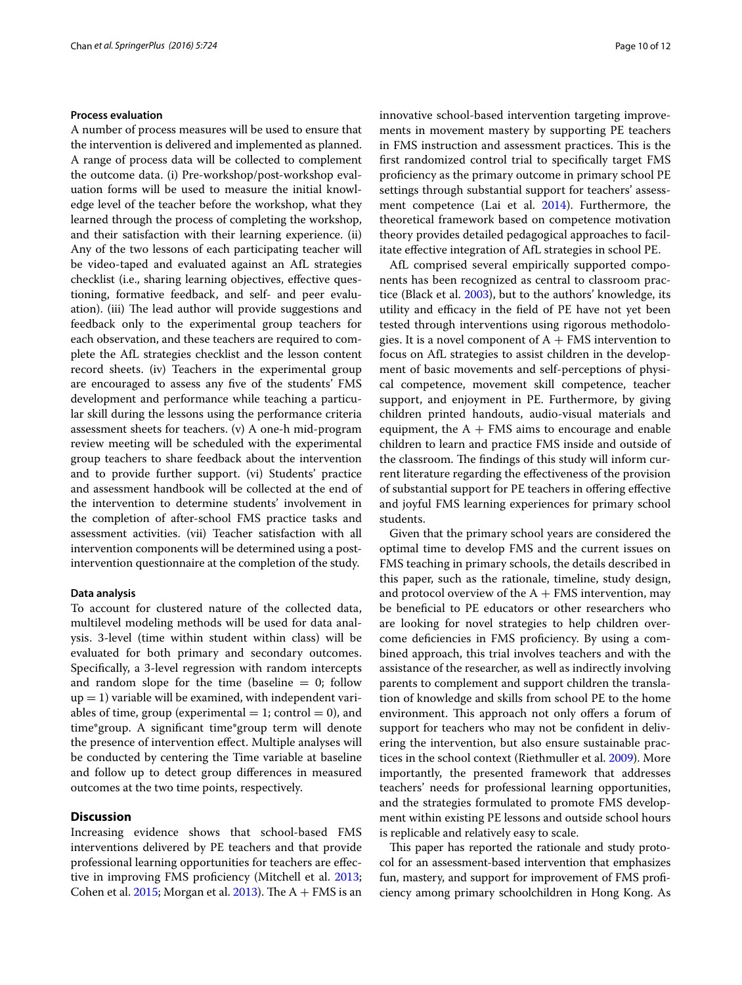## **Process evaluation**

A number of process measures will be used to ensure that the intervention is delivered and implemented as planned. A range of process data will be collected to complement the outcome data. (i) Pre-workshop/post-workshop evaluation forms will be used to measure the initial knowledge level of the teacher before the workshop, what they learned through the process of completing the workshop, and their satisfaction with their learning experience. (ii) Any of the two lessons of each participating teacher will be video-taped and evaluated against an AfL strategies checklist (i.e., sharing learning objectives, effective questioning, formative feedback, and self- and peer evaluation). (iii) The lead author will provide suggestions and feedback only to the experimental group teachers for each observation, and these teachers are required to complete the AfL strategies checklist and the lesson content record sheets. (iv) Teachers in the experimental group are encouraged to assess any five of the students' FMS development and performance while teaching a particular skill during the lessons using the performance criteria assessment sheets for teachers. (v) A one-h mid-program review meeting will be scheduled with the experimental group teachers to share feedback about the intervention and to provide further support. (vi) Students' practice and assessment handbook will be collected at the end of the intervention to determine students' involvement in the completion of after-school FMS practice tasks and assessment activities. (vii) Teacher satisfaction with all intervention components will be determined using a postintervention questionnaire at the completion of the study.

## **Data analysis**

To account for clustered nature of the collected data, multilevel modeling methods will be used for data analysis. 3-level (time within student within class) will be evaluated for both primary and secondary outcomes. Specifically, a 3-level regression with random intercepts and random slope for the time (baseline  $= 0$ ; follow  $up = 1$ ) variable will be examined, with independent variables of time, group (experimental  $= 1$ ; control  $= 0$ ), and time\*group. A significant time\*group term will denote the presence of intervention effect. Multiple analyses will be conducted by centering the Time variable at baseline and follow up to detect group differences in measured outcomes at the two time points, respectively.

## **Discussion**

Increasing evidence shows that school-based FMS interventions delivered by PE teachers and that provide professional learning opportunities for teachers are effective in improving FMS proficiency (Mitchell et al. [2013](#page-11-10); Cohen et al.  $2015$ ; Morgan et al. [2013\)](#page-11-1). The  $A + FMS$  is an innovative school-based intervention targeting improvements in movement mastery by supporting PE teachers in FMS instruction and assessment practices. This is the first randomized control trial to specifically target FMS proficiency as the primary outcome in primary school PE settings through substantial support for teachers' assess-ment competence (Lai et al. [2014\)](#page-10-15). Furthermore, the theoretical framework based on competence motivation theory provides detailed pedagogical approaches to facilitate effective integration of AfL strategies in school PE.

AfL comprised several empirically supported components has been recognized as central to classroom practice (Black et al. [2003\)](#page-10-12), but to the authors' knowledge, its utility and efficacy in the field of PE have not yet been tested through interventions using rigorous methodologies. It is a novel component of  $A + FMS$  intervention to focus on AfL strategies to assist children in the development of basic movements and self-perceptions of physical competence, movement skill competence, teacher support, and enjoyment in PE. Furthermore, by giving children printed handouts, audio-visual materials and equipment, the  $A + FMS$  aims to encourage and enable children to learn and practice FMS inside and outside of the classroom. The findings of this study will inform current literature regarding the effectiveness of the provision of substantial support for PE teachers in offering effective and joyful FMS learning experiences for primary school students.

Given that the primary school years are considered the optimal time to develop FMS and the current issues on FMS teaching in primary schools, the details described in this paper, such as the rationale, timeline, study design, and protocol overview of the  $A + FMS$  intervention, may be beneficial to PE educators or other researchers who are looking for novel strategies to help children overcome deficiencies in FMS proficiency. By using a combined approach, this trial involves teachers and with the assistance of the researcher, as well as indirectly involving parents to complement and support children the translation of knowledge and skills from school PE to the home environment. This approach not only offers a forum of support for teachers who may not be confident in delivering the intervention, but also ensure sustainable practices in the school context (Riethmuller et al. [2009](#page-11-12)). More importantly, the presented framework that addresses teachers' needs for professional learning opportunities, and the strategies formulated to promote FMS development within existing PE lessons and outside school hours is replicable and relatively easy to scale.

This paper has reported the rationale and study protocol for an assessment-based intervention that emphasizes fun, mastery, and support for improvement of FMS proficiency among primary schoolchildren in Hong Kong. As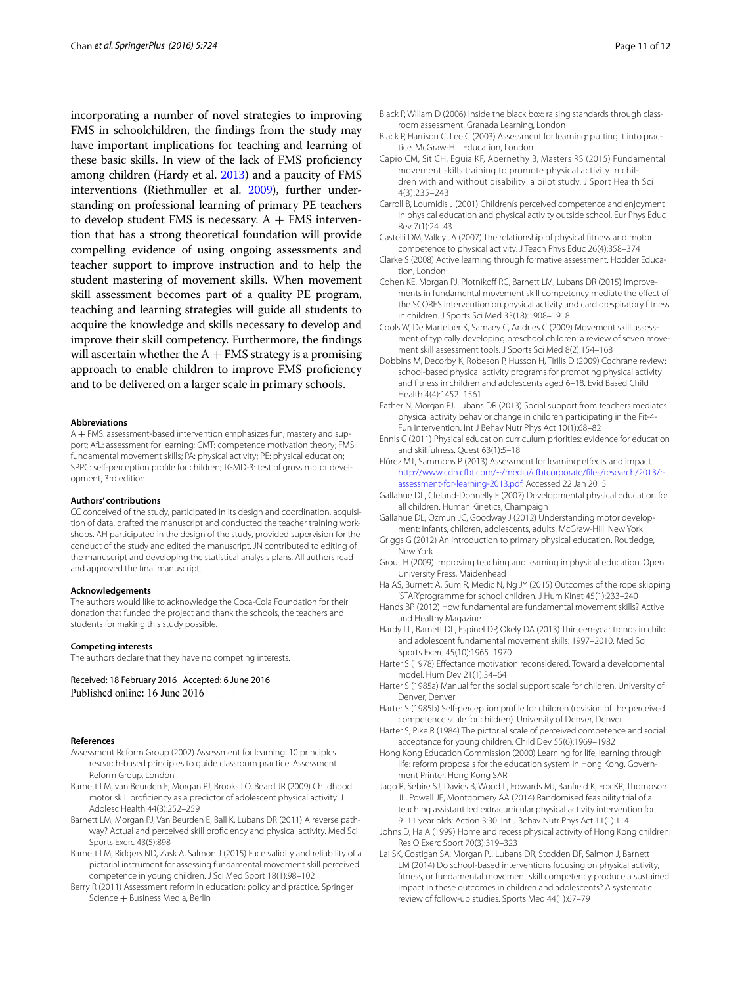incorporating a number of novel strategies to improving FMS in schoolchildren, the findings from the study may have important implications for teaching and learning of these basic skills. In view of the lack of FMS proficiency among children (Hardy et al. [2013\)](#page-10-5) and a paucity of FMS interventions (Riethmuller et al. [2009\)](#page-11-12), further understanding on professional learning of primary PE teachers to develop student FMS is necessary.  $A + FMS$  intervention that has a strong theoretical foundation will provide compelling evidence of using ongoing assessments and teacher support to improve instruction and to help the student mastering of movement skills. When movement skill assessment becomes part of a quality PE program, teaching and learning strategies will guide all students to acquire the knowledge and skills necessary to develop and improve their skill competency. Furthermore, the findings will ascertain whether the  $A + FMS$  strategy is a promising approach to enable children to improve FMS proficiency and to be delivered on a larger scale in primary schools.

#### **Abbreviations**

A + FMS: assessment-based intervention emphasizes fun, mastery and support; AfL: assessment for learning; CMT: competence motivation theory; FMS: fundamental movement skills; PA: physical activity; PE: physical education; SPPC: self-perception profile for children; TGMD-3: test of gross motor development, 3rd edition.

#### **Authors' contributions**

CC conceived of the study, participated in its design and coordination, acquisition of data, drafted the manuscript and conducted the teacher training workshops. AH participated in the design of the study, provided supervision for the conduct of the study and edited the manuscript. JN contributed to editing of the manuscript and developing the statistical analysis plans. All authors read and approved the final manuscript.

#### **Acknowledgements**

The authors would like to acknowledge the Coca-Cola Foundation for their donation that funded the project and thank the schools, the teachers and students for making this study possible.

#### **Competing interests**

The authors declare that they have no competing interests.

Received: 18 February 2016 Accepted: 6 June 2016 Published online: 16 June 2016

#### **References**

- <span id="page-10-18"></span>Assessment Reform Group (2002) Assessment for learning: 10 principles research-based principles to guide classroom practice. Assessment Reform Group, London
- <span id="page-10-24"></span>Barnett LM, van Beurden E, Morgan PJ, Brooks LO, Beard JR (2009) Childhood motor skill proficiency as a predictor of adolescent physical activity. J Adolesc Health 44(3):252–259
- <span id="page-10-2"></span>Barnett LM, Morgan PJ, Van Beurden E, Ball K, Lubans DR (2011) A reverse pathway? Actual and perceived skill proficiency and physical activity. Med Sci Sports Exerc 43(5):898
- <span id="page-10-29"></span>Barnett LM, Ridgers ND, Zask A, Salmon J (2015) Face validity and reliability of a pictorial instrument for assessing fundamental movement skill perceived competence in young children. J Sci Med Sport 18(1):98–102
- <span id="page-10-9"></span>Berry R (2011) Assessment reform in education: policy and practice. Springer Science + Business Media, Berlin
- <span id="page-10-13"></span>Black P, Wiliam D (2006) Inside the black box: raising standards through classroom assessment. Granada Learning, London
- <span id="page-10-12"></span>Black P, Harrison C, Lee C (2003) Assessment for learning: putting it into practice. McGraw-Hill Education, London
- <span id="page-10-16"></span>Capio CM, Sit CH, Eguia KF, Abernethy B, Masters RS (2015) Fundamental movement skills training to promote physical activity in children with and without disability: a pilot study. J Sport Health Sci 4(3):235–243
- <span id="page-10-20"></span>Carroll B, Loumidis J (2001) Childrenís perceived competence and enjoyment in physical education and physical activity outside school. Eur Phys Educ Rev 7(1):24–43
- <span id="page-10-1"></span>Castelli DM, Valley JA (2007) The relationship of physical fitness and motor competence to physical activity. J Teach Phys Educ 26(4):358–374
- <span id="page-10-19"></span>Clarke S (2008) Active learning through formative assessment. Hodder Education, London
- <span id="page-10-0"></span>Cohen KE, Morgan PJ, Plotnikoff RC, Barnett LM, Lubans DR (2015) Improvements in fundamental movement skill competency mediate the effect of the SCORES intervention on physical activity and cardiorespiratory fitness in children. J Sports Sci Med 33(18):1908–1918
- <span id="page-10-27"></span>Cools W, De Martelaer K, Samaey C, Andries C (2009) Movement skill assessment of typically developing preschool children: a review of seven movement skill assessment tools. J Sports Sci Med 8(2):154–168
- <span id="page-10-25"></span>Dobbins M, Decorby K, Robeson P, Husson H, Tirilis D (2009) Cochrane review: school-based physical activity programs for promoting physical activity and fitness in children and adolescents aged 6–18. Evid Based Child Health 4(4):1452–1561

<span id="page-10-7"></span>Eather N, Morgan PJ, Lubans DR (2013) Social support from teachers mediates physical activity behavior change in children participating in the Fit-4- Fun intervention. Int J Behav Nutr Phys Act 10(1):68–82

- <span id="page-10-8"></span>Ennis C (2011) Physical education curriculum priorities: evidence for education and skillfulness. Quest 63(1):5–18
- <span id="page-10-11"></span>Flórez MT, Sammons P (2013) Assessment for learning: effects and impact. [http://www.cdn.cfbt.com/~/media/cfbtcorporate/files/research/2013/r](http://www.cdn.cfbt.com/%7e/media/cfbtcorporate/files/research/2013/r-assessment-for-learning-2013.pdf)[assessment-for-learning-2013.pdf](http://www.cdn.cfbt.com/%7e/media/cfbtcorporate/files/research/2013/r-assessment-for-learning-2013.pdf). Accessed 22 Jan 2015
- <span id="page-10-4"></span>Gallahue DL, Cleland-Donnelly F (2007) Developmental physical education for all children. Human Kinetics, Champaign
- <span id="page-10-23"></span>Gallahue DL, Ozmun JC, Goodway J (2012) Understanding motor development: infants, children, adolescents, adults. McGraw-Hill, New York
- <span id="page-10-26"></span>Griggs G (2012) An introduction to primary physical education. Routledge, New York
- <span id="page-10-22"></span>Grout H (2009) Improving teaching and learning in physical education. Open University Press, Maidenhead
- <span id="page-10-17"></span>Ha AS, Burnett A, Sum R, Medic N, Ng JY (2015) Outcomes of the rope skipping 'STAR'programme for school children. J Hum Kinet 45(1):233–240
- <span id="page-10-14"></span>Hands BP (2012) How fundamental are fundamental movement skills? Active and Healthy Magazine
- <span id="page-10-5"></span>Hardy LL, Barnett DL, Espinel DP, Okely DA (2013) Thirteen-year trends in child and adolescent fundamental movement skills: 1997–2010. Med Sci Sports Exerc 45(10):1965–1970
- <span id="page-10-3"></span>Harter S (1978) Effectance motivation reconsidered. Toward a developmental model. Hum Dev 21(1):34–64
- <span id="page-10-31"></span>Harter S (1985a) Manual for the social support scale for children. University of Denver, Denver
- <span id="page-10-28"></span>Harter S (1985b) Self-perception profile for children (revision of the perceived competence scale for children). University of Denver, Denver
- <span id="page-10-30"></span>Harter S, Pike R (1984) The pictorial scale of perceived competence and social acceptance for young children. Child Dev 55(6):1969–1982
- <span id="page-10-10"></span>Hong Kong Education Commission (2000) Learning for life, learning through life: reform proposals for the education system in Hong Kong. Government Printer, Hong Kong SAR
- <span id="page-10-21"></span>Jago R, Sebire SJ, Davies B, Wood L, Edwards MJ, Banfield K, Fox KR, Thompson JL, Powell JE, Montgomery AA (2014) Randomised feasibility trial of a teaching assistant led extracurricular physical activity intervention for 9–11 year olds: Action 3:30. Int J Behav Nutr Phys Act 11(1):114
- <span id="page-10-6"></span>Johns D, Ha A (1999) Home and recess physical activity of Hong Kong children. Res Q Exerc Sport 70(3):319–323
- <span id="page-10-15"></span>Lai SK, Costigan SA, Morgan PJ, Lubans DR, Stodden DF, Salmon J, Barnett LM (2014) Do school-based interventions focusing on physical activity, fitness, or fundamental movement skill competency produce a sustained impact in these outcomes in children and adolescents? A systematic review of follow-up studies. Sports Med 44(1):67–79